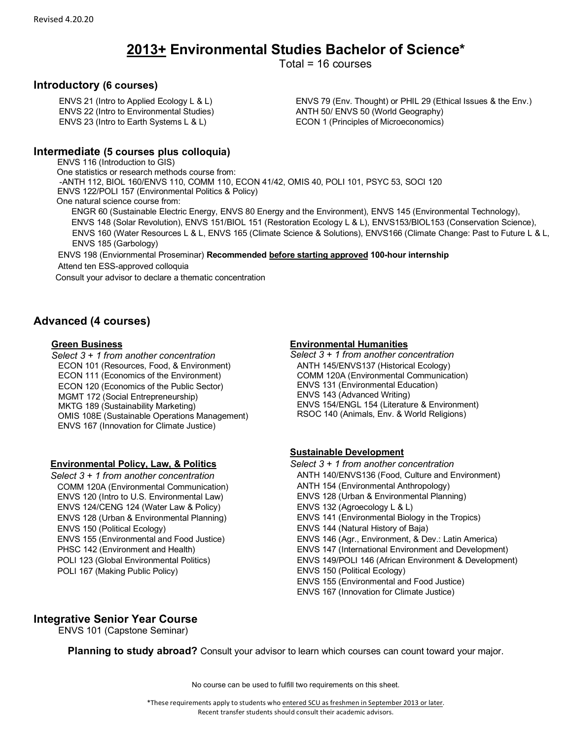# **2013+ Environmental Studies Bachelor of Science\***

Total = 16 courses

# **Introductory (6 courses)**

 ENVS 21 (Intro to Applied Ecology L & L) ENVS 22 (Intro to Environmental Studies) ENVS 23 (Intro to Earth Systems L & L)

 ENVS 79 (Env. Thought) or PHIL 29 (Ethical Issues & the Env.) ANTH 50/ ENVS 50 (World Geography) ECON 1 (Principles of Microeconomics)

### **Intermediate (5 courses plus colloquia)**

ENVS 116 (Introduction to GIS)

 One statistics or research methods course from: -ANTH 112, BIOL 160/ENVS 110, COMM 110, ECON 41/42, OMIS 40, POLI 101, PSYC 53, SOCI 120 ENVS 122/POLI 157 (Environmental Politics & Policy) One natural science course from: ENGR 60 (Sustainable Electric Energy, ENVS 80 Energy and the Environment), ENVS 145 (Environmental Technology),

ENVS 148 (Solar Revolution), ENVS 151/BIOL 151 (Restoration Ecology L & L), ENVS153/BIOL153 (Conservation Science), ENVS 160 (Water Resources L & L, ENVS 165 (Climate Science & Solutions), ENVS166 (Climate Change: Past to Future L & L, ENVS 185 (Garbology)

#### ENVS 198 (Enviornmental Proseminar) **Recommended before starting approved 100-hour internship** Attend ten ESS-approved colloquia

Consult your advisor to declare a thematic concentration

# **Advanced (4 courses)**

#### **Green Business**

*Select 3 + 1 from another concentration* ECON 101 (Resources, Food, & Environment) ECON 111 (Economics of the Environment) ECON 120 (Economics of the Public Sector) MGMT 172 (Social Entrepreneurship) MKTG 189 (Sustainability Marketing) OMIS 108E (Sustainable Operations Management) ENVS 167 (Innovation for Climate Justice)

#### **Environmental Policy, Law, & Politics**

*Select 3 + 1 from another concentration* COMM 120A (Environmental Communication) ENVS 120 (Intro to U.S. Environmental Law) ENVS 124/CENG 124 (Water Law & Policy) ENVS 128 (Urban & Environmental Planning) ENVS 150 (Political Ecology) ENVS 155 (Environmental and Food Justice) PHSC 142 (Environment and Health) POLI 123 (Global Environmental Politics) POLI 167 (Making Public Policy)

#### **Environmental Humanities**

*Select 3 + 1 from another concentration* ANTH 145/ENVS137 (Historical Ecology) COMM 120A (Environmental Communication) ENVS 131 (Environmental Education) ENVS 143 (Advanced Writing) ENVS 154/ENGL 154 (Literature & Environment) RSOC 140 (Animals, Env. & World Religions)

#### **Sustainable Development**

*Select 3 + 1 from another concentration*  ANTH 140/ENVS136 (Food, Culture and Environment) ANTH 154 (Environmental Anthropology) ENVS 128 (Urban & Environmental Planning) ENVS 132 (Agroecology L & L) ENVS 141 (Environmental Biology in the Tropics) ENVS 144 (Natural History of Baja) ENVS 146 (Agr., Environment, & Dev.: Latin America) ENVS 147 (International Environment and Development) ENVS 149/POLI 146 (African Environment & Development) ENVS 150 (Political Ecology) ENVS 155 (Environmental and Food Justice) ENVS 167 (Innovation for Climate Justice)

## **Integrative Senior Year Course**

ENVS 101 (Capstone Seminar)

**Planning to study abroad?** Consult your advisor to learn which courses can count toward your major.

No course can be used to fulfill two requirements on this sheet.